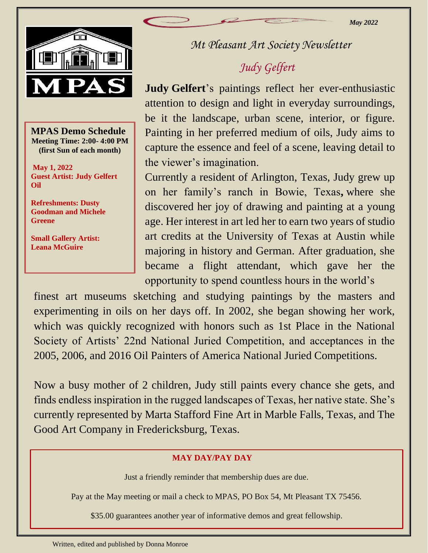

 **MPAS Demo Schedule Meeting Time: 2:00- 4:00 PM (first Sun of each month)**

**May 1, 2022 Guest Artist: Judy Gelfert Oil**

**Refreshments: Dusty Goodman and Michele Greene**

**Small Gallery Artist: Leana McGuire**

*Mt Pleasant Art Society Newsletter*

# *Judy Gelfert*

**Judy Gelfert**'s paintings reflect her ever-enthusiastic attention to design and light in everyday surroundings, be it the landscape, urban scene, interior, or figure. Painting in her preferred medium of oils, Judy aims to capture the essence and feel of a scene, leaving detail to the viewer's imagination.

Currently a resident of Arlington, Texas, Judy grew up on her family's ranch in Bowie, Texas**,** where she discovered her joy of drawing and painting at a young age. Her interest in art led her to earn two years of studio art credits at the University of Texas at Austin while majoring in history and German. After graduation, she became a flight attendant, which gave her the opportunity to spend countless hours in the world's

 which was quickly recognized with honors such as 1st Place in the National finest art museums sketching and studying paintings by the masters and experimenting in oils on her days off. In 2002, she began showing her work, Society of Artists' 22nd National Juried Competition, and acceptances in the 2005, 2006, and 2016 Oil Painters of America National Juried Competitions.

Now a busy mother of 2 children, Judy still paints every chance she gets, and finds endless inspiration in the rugged landscapes of Texas, her native state. She's currently represented by Marta Stafford Fine Art in Marble Falls, Texas, and The Good Art Company in Fredericksburg, Texas.

### **MAY DAY/PAY DAY**

Just a friendly reminder that membership dues are due.

Pay at the May meeting or mail a check to MPAS, PO Box 54, Mt Pleasant TX 75456.

\$35.00 guarantees another year of informative demos and great fellowship.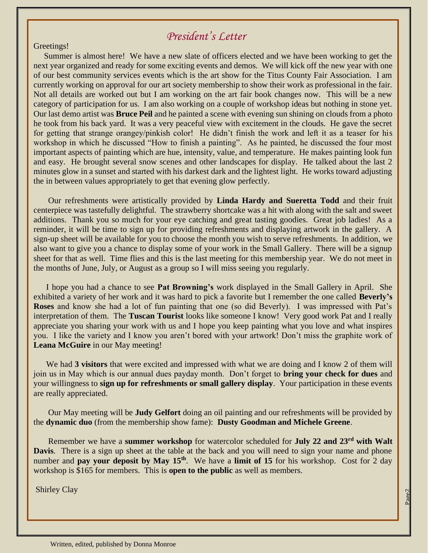## *President's Letter*

#### Greetings!

 Summer is almost here! We have a new slate of officers elected and we have been working to get the next year organized and ready for some exciting events and demos. We will kick off the new year with one of our best community services events which is the art show for the Titus County Fair Association. I am currently working on approval for our art society membership to show their work as professional in the fair. Not all details are worked out but I am working on the art fair book changes now. This will be a new category of participation for us. I am also working on a couple of workshop ideas but nothing in stone yet. Our last demo artist was **Bruce Peil** and he painted a scene with evening sun shining on clouds from a photo he took from his back yard. It was a very peaceful view with excitement in the clouds. He gave the secret for getting that strange orangey/pinkish color! He didn't finish the work and left it as a teaser for his workshop in which he discussed "How to finish a painting". As he painted, he discussed the four most important aspects of painting which are hue, intensity, value, and temperature. He makes painting look fun and easy. He brought several snow scenes and other landscapes for display. He talked about the last 2 minutes glow in a sunset and started with his darkest dark and the lightest light. He works toward adjusting the in between values appropriately to get that evening glow perfectly.

 Our refreshments were artistically provided by **Linda Hardy and Sueretta Todd** and their fruit centerpiece was tastefully delightful. The strawberry shortcake was a hit with along with the salt and sweet additions. Thank you so much for your eye catching and great tasting goodies. Great job ladies! As a reminder, it will be time to sign up for providing refreshments and displaying artwork in the gallery. A sign-up sheet will be available for you to choose the month you wish to serve refreshments. In addition, we also want to give you a chance to display some of your work in the Small Gallery. There will be a signup sheet for that as well. Time flies and this is the last meeting for this membership year. We do not meet in the months of June, July, or August as a group so I will miss seeing you regularly.

 I hope you had a chance to see **Pat Browning's** work displayed in the Small Gallery in April. She exhibited a variety of her work and it was hard to pick a favorite but I remember the one called **Beverly's Roses** and know she had a lot of fun painting that one (so did Beverly). I was impressed with Pat's interpretation of them. The **Tuscan Tourist** looks like someone I know! Very good work Pat and I really appreciate you sharing your work with us and I hope you keep painting what you love and what inspires you. I like the variety and I know you aren't bored with your artwork! Don't miss the graphite work of **Leana McGuire** in our May meeting!

 We had **3 visitors** that were excited and impressed with what we are doing and I know 2 of them will join us in May which is our annual dues payday month. Don't forget to **bring your check for dues** and your willingness to **sign up for refreshments or small gallery display**. Your participation in these events are really appreciated.

 Our May meeting will be **Judy Gelfort** doing an oil painting and our refreshments will be provided by the **dynamic duo** (from the membership show fame): **Dusty Goodman and Michele Greene**.

 Remember we have a **summer workshop** for watercolor scheduled for **July 22 and 23rd with Walt Davis**. There is a sign up sheet at the table at the back and you will need to sign your name and phone number and **pay your deposit by May 15<sup>th</sup>**. We have a **limit of 15** for his workshop. Cost for 2 day workshop is \$165 for members. This is **open to the public** as well as members.

Page2

Shirley Clay